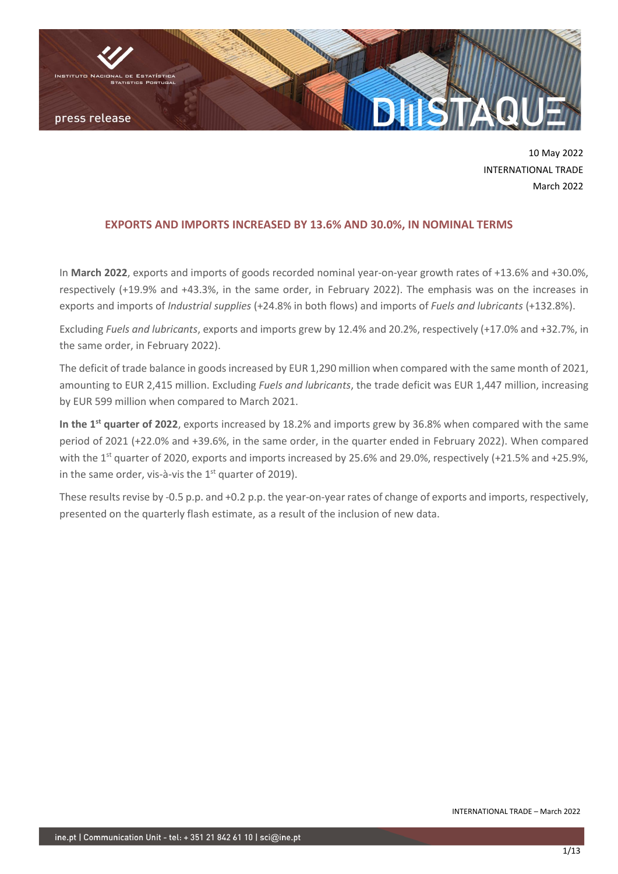

10 May 2022 INTERNATIONAL TRADE March 2022

## **EXPORTS AND IMPORTS INCREASED BY 13.6% AND 30.0%, IN NOMINAL TERMS**

In **March 2022**, exports and imports of goods recorded nominal year-on-year growth rates of +13.6% and +30.0%, respectively (+19.9% and +43.3%, in the same order, in February 2022). The emphasis was on the increases in exports and imports of *Industrial supplies* (+24.8% in both flows) and imports of *Fuels and lubricants* (+132.8%).

Excluding *Fuels and lubricants*, exports and imports grew by 12.4% and 20.2%, respectively (+17.0% and +32.7%, in the same order, in February 2022).

The deficit of trade balance in goods increased by EUR 1,290 million when compared with the same month of 2021, amounting to EUR 2,415 million. Excluding *Fuels and lubricants*, the trade deficit was EUR 1,447 million, increasing by EUR 599 million when compared to March 2021.

In the 1<sup>st</sup> quarter of 2022, exports increased by 18.2% and imports grew by 36.8% when compared with the same period of 2021 (+22.0% and +39.6%, in the same order, in the quarter ended in February 2022). When compared with the 1<sup>st</sup> quarter of 2020, exports and imports increased by 25.6% and 29.0%, respectively (+21.5% and +25.9%, in the same order, vis-à-vis the  $1<sup>st</sup>$  quarter of 2019).

These results revise by -0.5 p.p. and +0.2 p.p. the year-on-year rates of change of exports and imports, respectively, presented on the quarterly flash estimate, as a result of the inclusion of new data.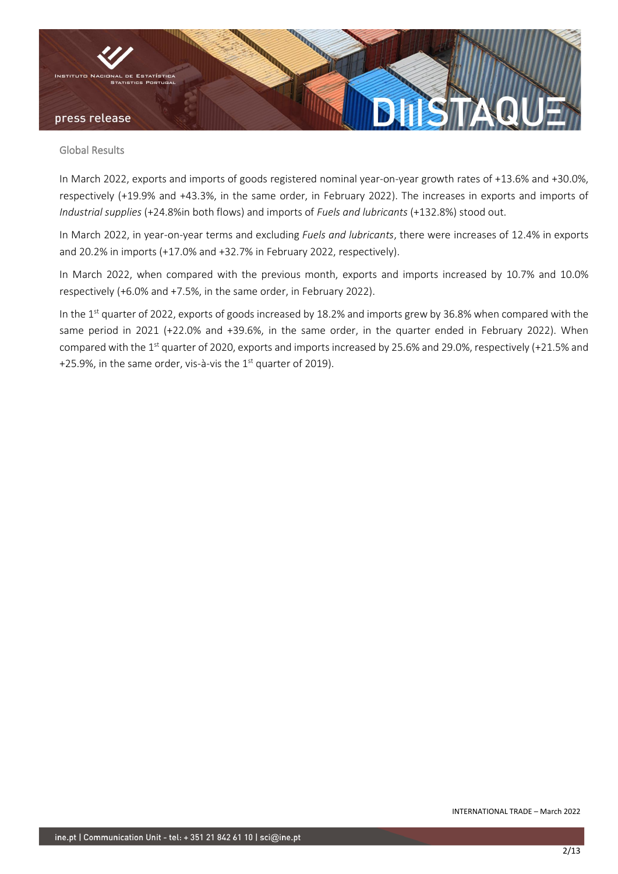

### Global Results

In March 2022, exports and imports of goods registered nominal year-on-year growth rates of +13.6% and +30.0%, respectively (+19.9% and +43.3%, in the same order, in February 2022). The increases in exports and imports of *Industrial supplies* (+24.8%in both flows) and imports of *Fuels and lubricants* (+132.8%) stood out.

In March 2022, in year-on-year terms and excluding *Fuels and lubricants*, there were increases of 12.4% in exports and 20.2% in imports (+17.0% and +32.7% in February 2022, respectively).

In March 2022, when compared with the previous month, exports and imports increased by 10.7% and 10.0% respectively (+6.0% and +7.5%, in the same order, in February 2022).

In the 1<sup>st</sup> quarter of 2022, exports of goods increased by 18.2% and imports grew by 36.8% when compared with the same period in 2021 (+22.0% and +39.6%, in the same order, in the quarter ended in February 2022). When compared with the 1<sup>st</sup> quarter of 2020, exports and imports increased by 25.6% and 29.0%, respectively (+21.5% and +25.9%, in the same order, vis-à-vis the  $1<sup>st</sup>$  quarter of 2019).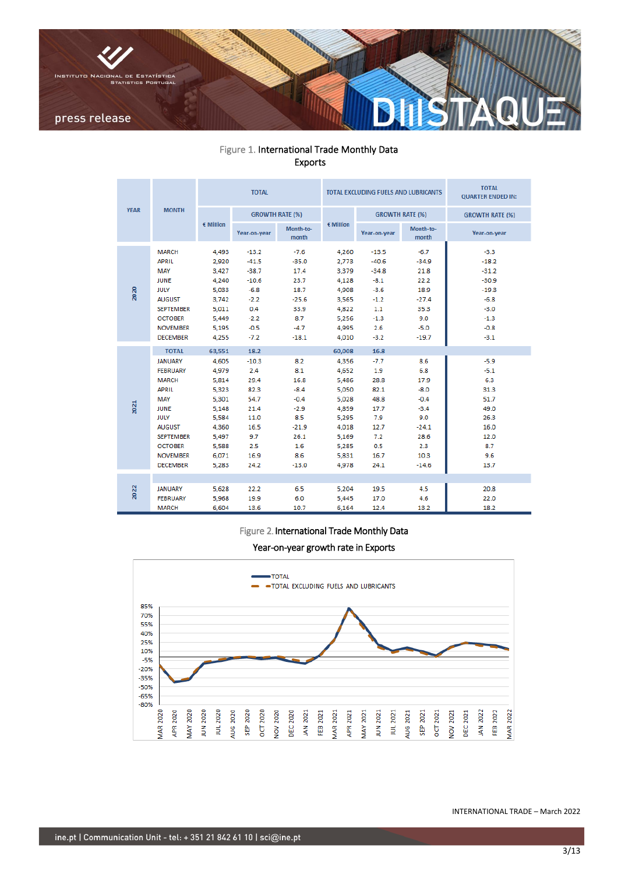

# Figure 1. International Trade Monthly Data Exports

|             |                                                                                                                                                                                                                     |                                                                                                                    | <b>TOTAL</b>                                                                                         |                                                                                                     |                                                                                                                    | TOTAL EXCLUDING FUELS AND LUBRICANTS                                                               | <b>TOTAL</b><br><b>QUARTER ENDED IN:</b>                                                             |                                                                                                      |
|-------------|---------------------------------------------------------------------------------------------------------------------------------------------------------------------------------------------------------------------|--------------------------------------------------------------------------------------------------------------------|------------------------------------------------------------------------------------------------------|-----------------------------------------------------------------------------------------------------|--------------------------------------------------------------------------------------------------------------------|----------------------------------------------------------------------------------------------------|------------------------------------------------------------------------------------------------------|------------------------------------------------------------------------------------------------------|
| <b>YEAR</b> | <b>MONTH</b>                                                                                                                                                                                                        |                                                                                                                    |                                                                                                      | <b>GROWTH RATE (%)</b>                                                                              |                                                                                                                    |                                                                                                    | <b>GROWTH RATE (%)</b>                                                                               | <b>GROWTH RATE (%)</b>                                                                               |
|             |                                                                                                                                                                                                                     | $\epsilon$ Million                                                                                                 | Year-on-year                                                                                         | Month-to-<br>month                                                                                  | $\epsilon$ Million                                                                                                 | Year-on-year                                                                                       | Month-to-<br>month                                                                                   | Year-on-year                                                                                         |
| 2020        | <b>MARCH</b><br><b>APRIL</b><br>MAY<br><b>JUNE</b><br><b>JULY</b><br><b>AUGUST</b><br><b>SEPTEMBER</b><br><b>OCTOBER</b><br><b>NOVEMBER</b><br><b>DECEMBER</b>                                                      | 4.493<br>2,920<br>3.427<br>4,240<br>5,033<br>3.742<br>5,011<br>5.449<br>5.195<br>4,255                             | $-13.2$<br>$-41.5$<br>$-38.7$<br>$-10.6$<br>$-6.8$<br>$-2.2$<br>0.4<br>$-2.2$<br>$-0.5$<br>$-7.2$    | $-7.6$<br>$-35.0$<br>17.4<br>23.7<br>18.7<br>$-25.6$<br>33.9<br>8.7<br>$-4.7$<br>$-18.1$            | 4.260<br>2,773<br>3,379<br>4,128<br>4,908<br>3,565<br>4,822<br>5.256<br>4.995<br>4,010                             | $-13.5$<br>$-40.6$<br>$-34.8$<br>$-8.1$<br>$-3.6$<br>$-1.2$<br>1.1<br>$-1.3$<br>2.6<br>$-3.2$      | $-6.7$<br>$-34.9$<br>21.8<br>22.2<br>18.9<br>$-27.4$<br>35.3<br>9.0<br>$-5.0$<br>$-19.7$             | $-3.3$<br>$-18.2$<br>$-31.2$<br>$-30.9$<br>$-19.3$<br>$-6.8$<br>$-3.0$<br>$-1.3$<br>$-0.8$<br>$-3.1$ |
| 2021        | <b>TOTAL</b><br><b>JANUARY</b><br><b>FEBRUARY</b><br><b>MARCH</b><br><b>APRIL</b><br>MAY<br><b>JUNE</b><br><b>JULY</b><br><b>AUGUST</b><br><b>SEPTEMBER</b><br><b>OCTOBER</b><br><b>NOVEMBER</b><br><b>DECEMBER</b> | 63,551<br>4,605<br>4.979<br>5,814<br>5,323<br>5.301<br>5,148<br>5.584<br>4,360<br>5,497<br>5,588<br>6,071<br>5.283 | 18.2<br>$-10.3$<br>2.4<br>29.4<br>82.3<br>54.7<br>21.4<br>11.0<br>16.5<br>9.7<br>2.5<br>16.9<br>24.2 | 8.2<br>8.1<br>16.8<br>$-8.4$<br>$-0.4$<br>$-2.9$<br>8.5<br>$-21.9$<br>26.1<br>1.6<br>8.6<br>$-13.0$ | 60,008<br>4,356<br>4,652<br>5,486<br>5,050<br>5.028<br>4,859<br>5.295<br>4,018<br>5,169<br>5,285<br>5,831<br>4,978 | 16.8<br>$-7.7$<br>1.9<br>28.8<br>82.1<br>48.8<br>17.7<br>7.9<br>12.7<br>7.2<br>0.5<br>16.7<br>24.1 | 8.6<br>6.8<br>17.9<br>$-8.0$<br>$-0.4$<br>$-3.4$<br>9.0<br>$-24.1$<br>28.6<br>2.3<br>10.3<br>$-14.6$ | $-5.9$<br>$-5.1$<br>6.3<br>31.3<br>51.7<br>49.0<br>26.3<br>16.0<br>12.0<br>8.7<br>9.6<br>13.7        |
| 2022        | <b>JANUARY</b><br><b>FEBRUARY</b><br><b>MARCH</b>                                                                                                                                                                   | 5,628<br>5,968<br>6,604                                                                                            | 22.2<br>19.9<br>13.6                                                                                 | 6.5<br>6.0<br>10.7                                                                                  | 5.204<br>5,445<br>6,164                                                                                            | 19.5<br>17.0<br>12.4                                                                               | 4.5<br>4.6<br>13.2                                                                                   | 20.8<br>22.0<br>18.2                                                                                 |

#### Figure 2. International Trade Monthly Data

Year-on-year growth rate in Exports

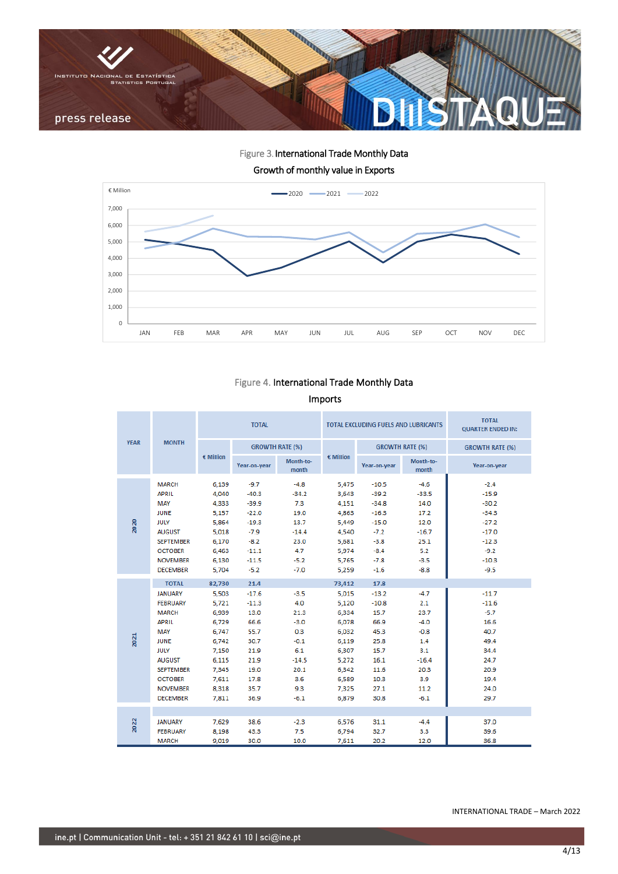

Figure 3. International Trade Monthly Data Growth of monthly value in Exports



# Figure 4. International Trade Monthly Data Imports

|             |                                                                                                                                                                                                                     |                                                                                                                    | <b>TOTAL</b>                                                                                               |                                                                                                    |                                                                                                                    | TOTAL EXCLUDING FUELS AND LUBRICANTS                                                                       | <b>TOTAL</b><br><b>QUARTER ENDED IN:</b>                                                            |                                                                                                      |
|-------------|---------------------------------------------------------------------------------------------------------------------------------------------------------------------------------------------------------------------|--------------------------------------------------------------------------------------------------------------------|------------------------------------------------------------------------------------------------------------|----------------------------------------------------------------------------------------------------|--------------------------------------------------------------------------------------------------------------------|------------------------------------------------------------------------------------------------------------|-----------------------------------------------------------------------------------------------------|------------------------------------------------------------------------------------------------------|
| <b>YEAR</b> | <b>MONTH</b>                                                                                                                                                                                                        |                                                                                                                    |                                                                                                            | <b>GROWTH RATE (%)</b>                                                                             |                                                                                                                    |                                                                                                            | <b>GROWTH RATE (%)</b>                                                                              | <b>GROWTH RATE (%)</b>                                                                               |
|             |                                                                                                                                                                                                                     | $\epsilon$ Million                                                                                                 | Year-on-year                                                                                               | Month-to-<br>month                                                                                 | $\epsilon$ Million                                                                                                 | Year-on-year                                                                                               | Month-to-<br>month                                                                                  | Year-on-year                                                                                         |
| 2020        | <b>MARCH</b><br><b>APRIL</b><br>MAY<br><b>JUNE</b><br><b>JULY</b><br><b>AUGUST</b><br><b>SEPTEMBER</b><br><b>OCTOBER</b><br><b>NOVEMBER</b>                                                                         | 6.139<br>4,040<br>4,333<br>5.157<br>5,864<br>5.018<br>6.170<br>6,463<br>6.130                                      | $-9.7$<br>$-40.3$<br>$-39.9$<br>$-22.0$<br>$-19.3$<br>$-7.9$<br>$-8.2$<br>$-11.1$<br>$-11.5$               | $-4.8$<br>$-34.2$<br>7.3<br>19.0<br>13.7<br>$-14.4$<br>23.0<br>4.7<br>$-5.2$                       | 5.475<br>3,643<br>4,151<br>4.863<br>5,449<br>4,540<br>5,681<br>5.974<br>5.765                                      | $-10.5$<br>$-39.2$<br>$-34.8$<br>$-16.3$<br>$-15.0$<br>$-7.2$<br>$-3.8$<br>$-8.4$<br>$-7.8$                | $-4.6$<br>$-33.5$<br>14.0<br>17.2<br>12.0<br>$-16.7$<br>25.1<br>5.2<br>$-3.5$                       | $-2.4$<br>$-15.9$<br>$-30.2$<br>$-34.3$<br>$-27.2$<br>$-17.0$<br>$-12.3$<br>$-9.2$<br>$-10.3$        |
|             | <b>DECEMBER</b>                                                                                                                                                                                                     | 5,704                                                                                                              | $-5.2$                                                                                                     | $-7.0$                                                                                             | 5,259                                                                                                              | $-1.6$                                                                                                     | $-8.8$                                                                                              | $-9.5$                                                                                               |
| 2021        | <b>TOTAL</b><br><b>JANUARY</b><br><b>FEBRUARY</b><br><b>MARCH</b><br><b>APRIL</b><br>MAY<br><b>JUNE</b><br><b>JULY</b><br><b>AUGUST</b><br><b>SEPTEMBER</b><br><b>OCTOBER</b><br><b>NOVEMBER</b><br><b>DECEMBER</b> | 82,730<br>5,503<br>5.721<br>6,939<br>6,729<br>6.747<br>6,742<br>7.150<br>6,115<br>7,345<br>7.611<br>8,318<br>7,811 | 21.4<br>$-17.6$<br>$-11.3$<br>13.0<br>66.6<br>55.7<br>30.7<br>21.9<br>21.9<br>19.0<br>17.8<br>35.7<br>36.9 | $-3.5$<br>4.0<br>21.3<br>$-3.0$<br>0.3<br>$-0.1$<br>6.1<br>$-14.5$<br>20.1<br>3.6<br>9.3<br>$-6.1$ | 73,412<br>5,015<br>5.120<br>6,334<br>6,078<br>6.032<br>6,119<br>6.307<br>5,272<br>6,342<br>6.589<br>7,325<br>6,879 | 17.8<br>$-13.2$<br>$-10.8$<br>15.7<br>66.9<br>45.3<br>25.8<br>15.7<br>16.1<br>11.6<br>10.3<br>27.1<br>30.8 | $-4.7$<br>2.1<br>23.7<br>$-4.0$<br>$-0.8$<br>1.4<br>3.1<br>$-16.4$<br>20.3<br>3.9<br>11.2<br>$-6.1$ | $-11.7$<br>$-11.6$<br>$-5.7$<br>16.6<br>40.7<br>49.4<br>34.4<br>24.7<br>20.9<br>19.4<br>24.0<br>29.7 |
| 2022        | <b>JANUARY</b><br><b>FEBRUARY</b><br><b>MARCH</b>                                                                                                                                                                   | 7,629<br>8,198<br>9,019                                                                                            | 38.6<br>43.3<br>30.0                                                                                       | $-2.3$<br>7.5<br>10.0                                                                              | 6,576<br>6,794<br>7,611                                                                                            | 31.1<br>32.7<br>20.2                                                                                       | $-4.4$<br>3.3<br>12.0                                                                               | 37.0<br>39.6<br>36.8                                                                                 |

INTERNATIONAL TRADE – March 2022

í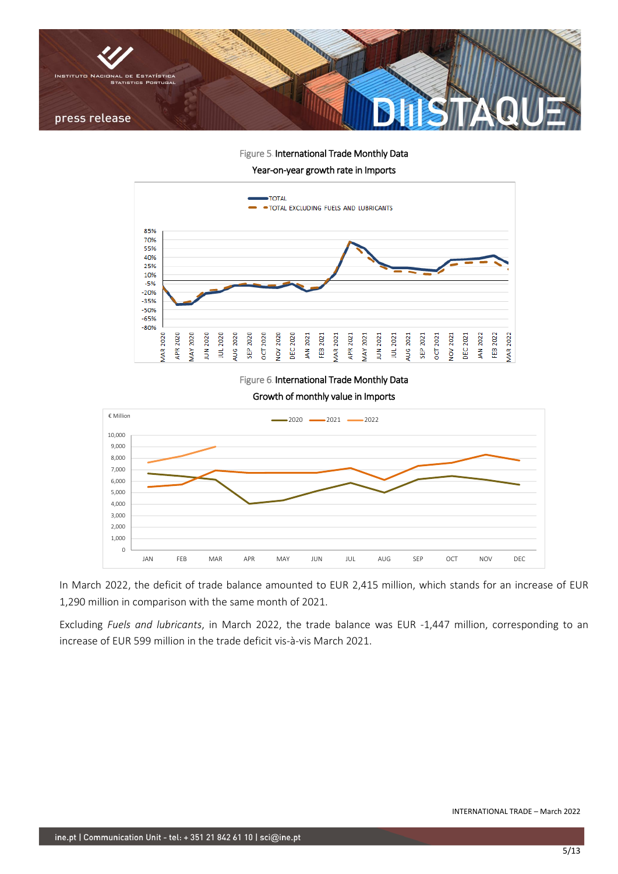

Figure 5. International Trade Monthly Data

Year-on-year growth rate in Imports



Figure 6. International Trade Monthly Data

Growth of monthly value in Imports



In March 2022, the deficit of trade balance amounted to EUR 2,415 million, which stands for an increase of EUR 1,290 million in comparison with the same month of 2021.

Excluding *Fuels and lubricants*, in March 2022, the trade balance was EUR -1,447 million, corresponding to an increase of EUR 599 million in the trade deficit vis-à-vis March 2021.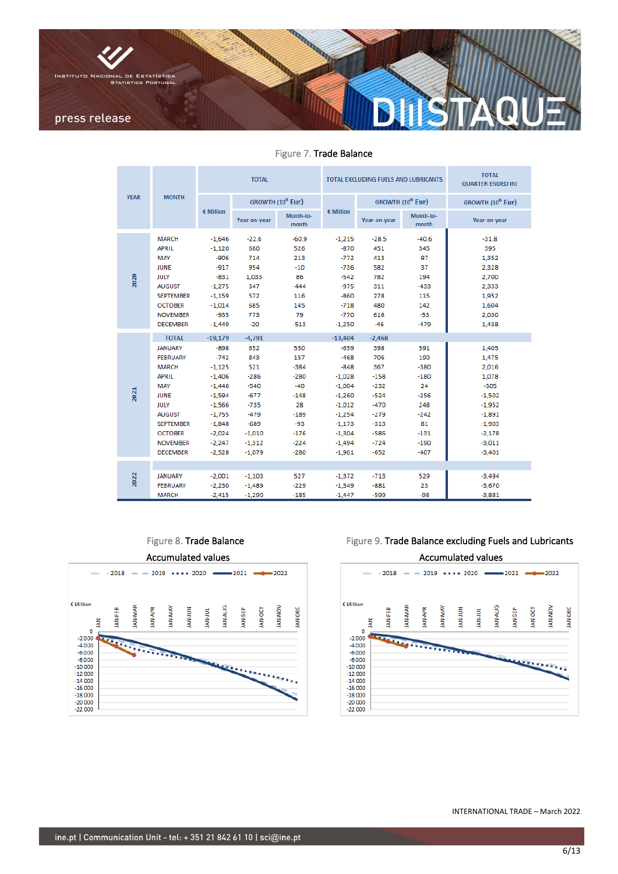

Figure 7. Trade Balance

|             |                                                                                                                                                                                                                     |                                                                                                                                                       | <b>TOTAL</b>                                                                                                                  |                                                                                                          |                                                                                                                                                     | TOTAL EXCLUDING FUELS AND LUBRICANTS                                                                                    | <b>TOTAL</b><br><b>QUARTER ENDED IN:</b>                                                            |                                                                                                                                |  |
|-------------|---------------------------------------------------------------------------------------------------------------------------------------------------------------------------------------------------------------------|-------------------------------------------------------------------------------------------------------------------------------------------------------|-------------------------------------------------------------------------------------------------------------------------------|----------------------------------------------------------------------------------------------------------|-----------------------------------------------------------------------------------------------------------------------------------------------------|-------------------------------------------------------------------------------------------------------------------------|-----------------------------------------------------------------------------------------------------|--------------------------------------------------------------------------------------------------------------------------------|--|
| <b>YEAR</b> | <b>MONTH</b>                                                                                                                                                                                                        |                                                                                                                                                       | GROWTH (10 <sup>6</sup> Eur)                                                                                                  |                                                                                                          |                                                                                                                                                     |                                                                                                                         | GROWTH (10 <sup>6</sup> Eur)                                                                        | GROWTH (10 <sup>6</sup> Eur)                                                                                                   |  |
|             |                                                                                                                                                                                                                     | $\epsilon$ Million                                                                                                                                    | Year-on-year                                                                                                                  | Month-to-<br>month                                                                                       | $\epsilon$ Million                                                                                                                                  | Year-on-year                                                                                                            | Month-to-<br>month                                                                                  | Year-on-year                                                                                                                   |  |
| 2020        | <b>MARCH</b><br><b>APRIL</b><br>MAY<br><b>JUNE</b><br><b>JULY</b><br><b>AUGUST</b><br><b>SEPTEMBER</b><br><b>OCTOBER</b><br><b>NOVEMBER</b><br><b>DECEMBER</b>                                                      | $-1,646$<br>$-1,120$<br>$-906$<br>$-917$<br>$-831$<br>$-1.275$<br>$-1,159$<br>$-1,014$<br>$-935$<br>$-1.449$                                          | $-22.6$<br>660<br>714<br>954<br>1,033<br>347<br>572<br>685<br>773<br>$-20$                                                    | $-60.9$<br>526<br>213<br>$-10$<br>86<br>$-444$<br>116<br>145<br>79<br>$-513$                             | $-1,215$<br>$-870$<br>$-772$<br>$-736$<br>$-542$<br>$-975$<br>$-860$<br>$-718$<br>$-770$<br>$-1,250$                                                | $-28.5$<br>451<br>413<br>582<br>782<br>311<br>278<br>480<br>616<br>$-46$                                                | $-40.6$<br>345<br>97<br>37<br>194<br>$-433$<br>115<br>142<br>$-53$<br>$-479$                        | $-31.8$<br>395<br>1,352<br>2,328<br>2,700<br>2.333<br>1,952<br>1,604<br>2,030<br>1,438                                         |  |
| 2021        | <b>TOTAL</b><br><b>JANUARY</b><br><b>FEBRUARY</b><br><b>MARCH</b><br><b>APRIL</b><br>MAY<br><b>JUNE</b><br><b>JULY</b><br><b>AUGUST</b><br><b>SEPTEMBER</b><br><b>OCTOBER</b><br><b>NOVEMBER</b><br><b>DECEMBER</b> | $-19,179$<br>$-898$<br>$-742$<br>$-1,125$<br>$-1.406$<br>$-1.446$<br>$-1,594$<br>$-1.566$<br>$-1,755$<br>$-1,848$<br>$-2.024$<br>$-2,247$<br>$-2.528$ | $-4,791$<br>652<br>843<br>521<br>$-286$<br>$-540$<br>$-677$<br>$-735$<br>$-479$<br>$-689$<br>$-1.010$<br>$-1,312$<br>$-1.079$ | 550<br>157<br>$-384$<br>$-280$<br>$-40$<br>$-148$<br>28<br>$-189$<br>$-93$<br>$-176$<br>$-224$<br>$-280$ | $-13,404$<br>$-659$<br>$-468$<br>$-848$<br>$-1.028$<br>$-1,004$<br>$-1,260$<br>$-1.012$<br>$-1,254$<br>$-1,173$<br>$-1.304$<br>$-1,494$<br>$-1,901$ | $-2,468$<br>398<br>706<br>367<br>$-158$<br>$-232$<br>$-524$<br>$-470$<br>$-279$<br>$-313$<br>$-586$<br>$-724$<br>$-652$ | 591<br>190<br>$-380$<br>$-180$<br>24<br>$-256$<br>248<br>$-242$<br>81<br>$-131$<br>$-190$<br>$-407$ | 1,405<br>1,475<br>2,016<br>1,078<br>$-305$<br>$-1,502$<br>$-1,952$<br>$-1,891$<br>$-1,903$<br>$-2,178$<br>$-3,011$<br>$-3,401$ |  |
| 2022        | <b>JANUARY</b><br><b>FEBRUARY</b><br><b>MARCH</b>                                                                                                                                                                   | $-2,001$<br>$-2.230$<br>$-2,415$                                                                                                                      | $-1,103$<br>$-1,489$<br>$-1,290$                                                                                              | 527<br>$-229$<br>$-185$                                                                                  | $-1,372$<br>$-1.349$<br>$-1,447$                                                                                                                    | $-713$<br>$-881$<br>$-599$                                                                                              | 529<br>23<br>$-98$                                                                                  | $-3.494$<br>$-3,670$<br>$-3,881$                                                                                               |  |

# Figure 8. Trade Balance



# Figure 9. Trade Balance excluding Fuels and Lubricants

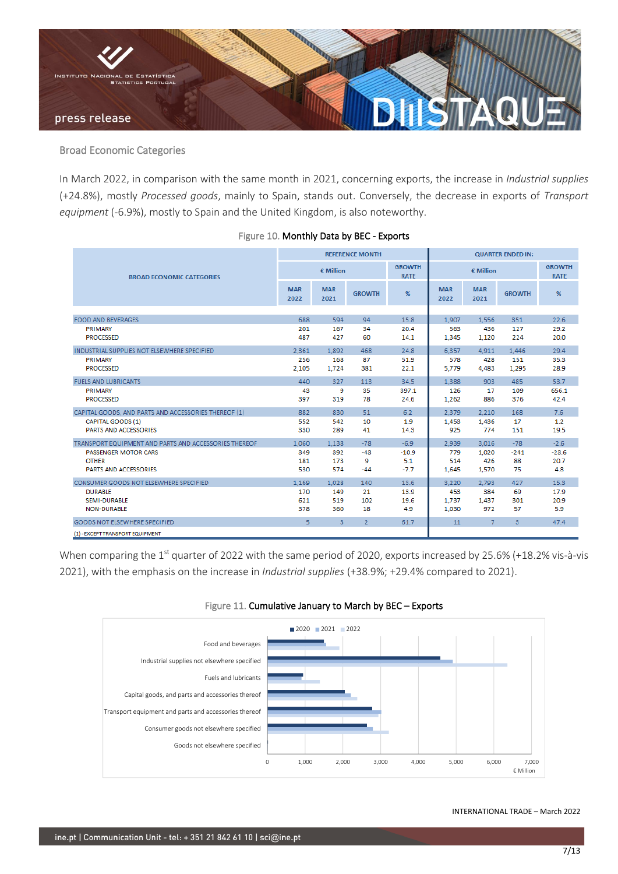

### Broad Economic Categories

In March 2022, in comparison with the same month in 2021, concerning exports, the increase in *Industrial supplies* (+24.8%), mostly *Processed goods*, mainly to Spain, stands out. Conversely, the decrease in exports of *Transport equipment* (-6.9%), mostly to Spain and the United Kingdom, is also noteworthy.

|                                                       |                    |                    | <b>REFERENCE MONTH</b> |                              | <b>QUARTER ENDED IN:</b> |                    |                         |                              |
|-------------------------------------------------------|--------------------|--------------------|------------------------|------------------------------|--------------------------|--------------------|-------------------------|------------------------------|
| <b>BROAD FCONOMIC CATEGORIES</b>                      | $\epsilon$ Million |                    |                        | <b>GROWTH</b><br><b>RATE</b> | $\epsilon$ Million       |                    |                         | <b>GROWTH</b><br><b>RATE</b> |
|                                                       | <b>MAR</b><br>2022 | <b>MAR</b><br>2021 | <b>GROWTH</b>          | %                            | <b>MAR</b><br>2022       | <b>MAR</b><br>2021 | <b>GROWTH</b>           | %                            |
|                                                       |                    |                    |                        |                              |                          |                    |                         |                              |
| <b>FOOD AND BEVERAGES</b>                             | 688                | 594                | 94                     | 15.8                         | 1.907                    | 1.556              | 351                     | 22.6                         |
| PRIMARY<br><b>PROCESSED</b>                           | 201<br>487         | 167<br>427         | 34<br>60               | 20.4<br>14.1                 | 563<br>1,345             | 436<br>1,120       | 127<br>224              | 29.2<br>20.0                 |
| INDUSTRIAL SUPPLIES NOT ELSEWHERE SPECIFIED           | 2.361              | 1.892              | 468                    | 24.8                         | 6.357                    | 4.911              | 1.446                   | 29.4                         |
| PRIMARY                                               | 256                | 168                | 87                     | 51.9                         | 578                      | 428                | 151                     | 35.3                         |
| <b>PROCESSED</b>                                      | 2.105              | 1,724              | 381                    | 22.1                         | 5.779                    | 4,483              | 1,295                   | 28.9                         |
| <b>FUELS AND LUBRICANTS</b>                           | 440                | 327                | 113                    | 34.5                         | 1.388                    | 903                | 485                     | 53.7                         |
| PRIMARY                                               | 43                 | 9                  | 35                     | 397.1                        | 126                      | 17                 | 109                     | 656.1                        |
| <b>PROCESSED</b>                                      | 397                | 319                | 78                     | 24.6                         | 1.262                    | 886                | 376                     | 42.4                         |
| CAPITAL GOODS, AND PARTS AND ACCESSORIES THEREOF (1)  | 882                | 830                | 51                     | 6.2                          | 2.379                    | 2.210              | 168                     | 7.6                          |
| CAPITAL GOODS (1)                                     | 552                | 542                | 10                     | 1.9                          | 1,453                    | 1,436              | 17                      | 1.2                          |
| <b>PARTS AND ACCESSORIES</b>                          | 330                | 289                | 41                     | 14.3                         | 925                      | 774                | 151                     | 19.5                         |
| TRANSPORT EQUIPMENT AND PARTS AND ACCESSORIES THEREOF | 1.060              | 1.138              | $-78$                  | $-6.9$                       | 2.939                    | 3.016              | $-78$                   | $-2.6$                       |
| <b>PASSENGER MOTOR CARS</b>                           | 349                | 392                | $-43$                  | $-10.9$                      | 779                      | 1,020              | $-241$                  | $-23.6$                      |
| <b>OTHER</b>                                          | 181                | 173                | 9                      | 5.1                          | 514                      | 426                | 88                      | 20.7                         |
| <b>PARTS AND ACCESSORIES</b>                          | 530                | 574                | -44                    | $-7.7$                       | 1,645                    | 1,570              | 75                      | 4.8                          |
| CONSUMER GOODS NOT ELSEWHERE SPECIFIED                | 1,169              | 1.028              | 140                    | 13.6                         | 3.220                    | 2.793              | 427                     | 15.3                         |
| <b>DURABLE</b>                                        | 170                | 149                | 21                     | 13.9                         | 453                      | 384                | 69                      | 17.9                         |
| <b>SEMI-DURABLE</b>                                   | 621                | 519                | 102                    | 19.6                         | 1,737                    | 1,437              | 301                     | 20.9                         |
| <b>NON-DURABLE</b>                                    | 378                | 360                | 18                     | 4.9                          | 1,030                    | 972                | 57                      | 5.9                          |
| GOODS NOT ELSEWHERE SPECIFIED                         | 5 <sub>1</sub>     | $\overline{3}$     | $\overline{2}$         | 61.7                         | 11                       | $\overline{7}$     | $\overline{\mathbf{3}}$ | 47.4                         |
| (1) - EXCEPT TRANSPORT EQUIPMENT                      |                    |                    |                        |                              |                          |                    |                         |                              |

#### Figure 10. Monthly Data by BEC - Exports

When comparing the 1<sup>st</sup> quarter of 2022 with the same period of 2020, exports increased by 25.6% (+18.2% vis-à-vis 2021), with the emphasis on the increase in *Industrial supplies* (+38.9%; +29.4% compared to 2021).



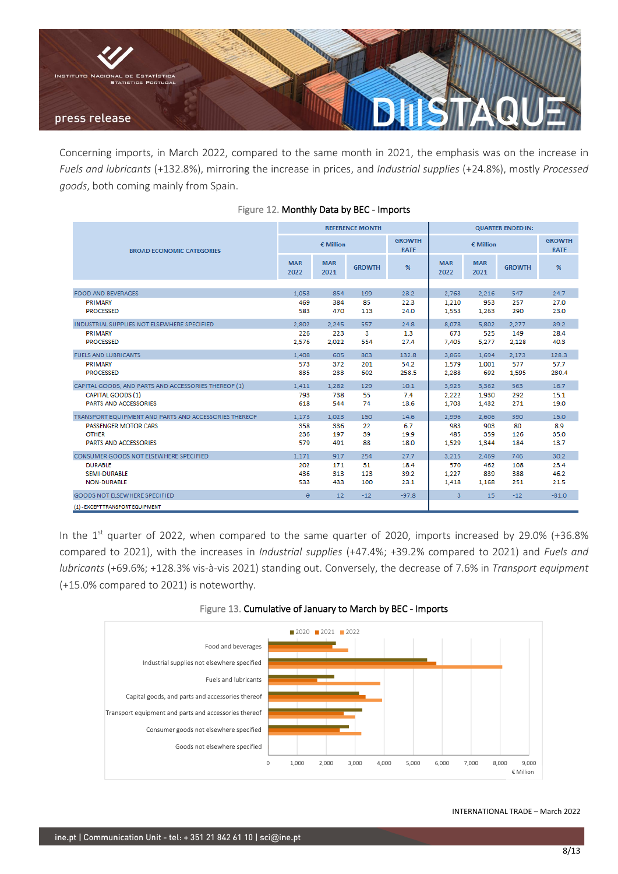

Concerning imports, in March 2022, compared to the same month in 2021, the emphasis was on the increase in *Fuels and lubricants* (+132.8%), mirroring the increase in prices, and *Industrial supplies* (+24.8%), mostly *Processed goods*, both coming mainly from Spain.

|                                                       |                    |                    | <b>REFERENCE MONTH</b> |                              | <b>QUARTER ENDED IN:</b> |                    |               |                              |
|-------------------------------------------------------|--------------------|--------------------|------------------------|------------------------------|--------------------------|--------------------|---------------|------------------------------|
| <b>BROAD ECONOMIC CATEGORIES</b>                      |                    | $\epsilon$ Million |                        | <b>GROWTH</b><br><b>RATE</b> |                          | $\epsilon$ Million |               | <b>GROWTH</b><br><b>RATE</b> |
|                                                       | <b>MAR</b><br>2022 | <b>MAR</b><br>2021 | <b>GROWTH</b>          | %                            | <b>MAR</b><br>2022       | <b>MAR</b><br>2021 | <b>GROWTH</b> | %                            |
|                                                       |                    |                    |                        |                              |                          |                    |               |                              |
| <b>FOOD AND BEVERAGES</b>                             | 1.053              | 854                | 199                    | 23.2                         | 2.763                    | 2.216              | 547           | 24.7                         |
| PRIMARY                                               | 469                | 384                | 85                     | 22.3                         | 1,210                    | 953                | 257           | 27.0                         |
| <b>PROCESSED</b>                                      | 583                | 470                | 113                    | 24.0                         | 1.553                    | 1,263              | 290           | 23.0                         |
| INDUSTRIAL SUPPLIES NOT ELSEWHERE SPECIFIED           | 2.802              | 2.245              | 557                    | 24.8                         | 8.078                    | 5.802              | 2.277         | 39.2                         |
| PRIMARY                                               | 226                | 223                | 3                      | 1.3                          | 673                      | 525                | 149           | 28.4                         |
| <b>PROCESSED</b>                                      | 2,576              | 2,022              | 554                    | 27.4                         | 7,405                    | 5,277              | 2,128         | 40.3                         |
| <b>FUELS AND LUBRICANTS</b>                           | 1,408              | 605                | 803                    | 132.8                        | 3.866                    | 1.694              | 2,173         | 128.3                        |
| PRIMARY                                               | 573                | 372                | 201                    | 54.2                         | 1.579                    | 1.001              | 577           | 57.7                         |
| <b>PROCESSED</b>                                      | 835                | 233                | 602                    | 258.5                        | 2,288                    | 692                | 1,595         | 230.4                        |
| CAPITAL GOODS, AND PARTS AND ACCESSORIES THEREOF (1)  | 1.411              | 1.282              | 129                    | 10.1                         | 3.925                    | 3.362              | 563           | 16.7                         |
| CAPITAL GOODS (1)                                     | 793                | 738                | 55                     | 7.4                          | 2,222                    | 1,930              | 292           | 15.1                         |
| PARTS AND ACCESSORIES                                 | 618                | 544                | 74                     | 13.6                         | 1,703                    | 1,432              | 271           | 19.0                         |
| TRANSPORT EQUIPMENT AND PARTS AND ACCESSORIES THEREOF | 1.173              | 1,023              | 150                    | 14.6                         | 2,996                    | 2,606              | 390           | 15.0                         |
| <b>PASSENGER MOTOR CARS</b>                           | 358                | 336                | 22                     | 6.7                          | 983                      | 903                | 80            | 8.9                          |
| <b>OTHER</b>                                          | 236                | 197                | 39                     | 19.9                         | 485                      | 359                | 126           | 35.0                         |
| PARTS AND ACCESSORIES                                 | 579                | 491                | 88                     | 18.0                         | 1,529                    | 1,344              | 184           | 13.7                         |
| CONSUMER GOODS NOT ELSEWHERE SPECIFIED                | 1.171              | 917                | 254                    | 27.7                         | 3,215                    | 2.469              | 746           | 30.2                         |
| <b>DURABLE</b>                                        | 202                | 171                | 31                     | 18.4                         | 570                      | 462                | 108           | 23.4                         |
| SEMI-DURABLE                                          | 436                | 313                | 123                    | 39.2                         | 1,227                    | 839                | 388           | 46.2                         |
| <b>NON-DURABLE</b>                                    | 533                | 433                | 100                    | 23.1                         | 1,418                    | 1,168              | 251           | 21.5                         |
| <b>GOODS NOT ELSEWHERE SPECIFIED</b>                  | $\Theta$           | 12                 | $-12$                  | $-97.8$                      | 3                        | 15                 | $-12$         | $-81.0$                      |
| (1) - EXCEPT TRANSPORT EQUIPMENT                      |                    |                    |                        |                              |                          |                    |               |                              |

### Figure 12. Monthly Data by BEC - Imports

In the  $1<sup>st</sup>$  quarter of 2022, when compared to the same quarter of 2020, imports increased by 29.0% (+36.8% compared to 2021), with the increases in *Industrial supplies* (+47.4%; +39.2% compared to 2021) and *Fuels and lubricants* (+69.6%; +128.3% vis-à-vis 2021) standing out. Conversely, the decrease of 7.6% in *Transport equipment* (+15.0% compared to 2021) is noteworthy.



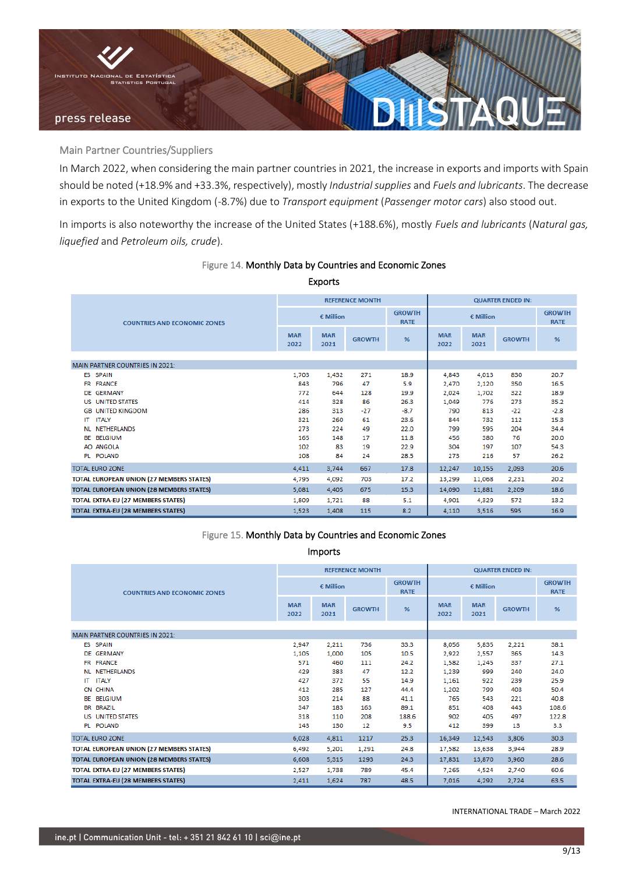

Main Partner Countries/Suppliers

In March 2022, when considering the main partner countries in 2021, the increase in exports and imports with Spain should be noted (+18.9% and +33.3%, respectively), mostly *Industrial supplies* and *Fuels and lubricants*. The decrease in exports to the United Kingdom (-8.7%) due to *Transport equipment* (*Passenger motor cars*) also stood out.

In imports is also noteworthy the increase of the United States (+188.6%), mostly *Fuels and lubricants* (*Natural gas, liquefied* and *Petroleum oils, crude*).

|                                                 |                    | <b>Exports</b>     |                        |                              |                    |                    |                          |                              |
|-------------------------------------------------|--------------------|--------------------|------------------------|------------------------------|--------------------|--------------------|--------------------------|------------------------------|
|                                                 |                    |                    | <b>REFERENCE MONTH</b> |                              |                    |                    | <b>QUARTER ENDED IN:</b> |                              |
| <b>COUNTRIES AND ECONOMIC ZONES</b>             | $\epsilon$ Million |                    |                        | <b>GROWTH</b><br><b>RATE</b> | $\epsilon$ Million |                    |                          | <b>GROWTH</b><br><b>RATE</b> |
|                                                 | <b>MAR</b><br>2022 | <b>MAR</b><br>2021 | <b>GROWTH</b>          | %                            | <b>MAR</b><br>2022 | <b>MAR</b><br>2021 | <b>GROWTH</b>            | %                            |
|                                                 |                    |                    |                        |                              |                    |                    |                          |                              |
| <b>MAIN PARTNER COUNTRIES IN 2021:</b>          |                    |                    |                        |                              |                    |                    |                          |                              |
| ES<br><b>SPAIN</b>                              | 1,703              | 1,432              | 271                    | 18.9                         | 4,843              | 4,013              | 830                      | 20.7                         |
| <b>FRANCE</b><br>FR.                            | 843                | 796                | 47                     | 5.9                          | 2,470              | 2,120              | 350                      | 16.5                         |
| DE GERMANY                                      | 772                | 644                | 128                    | 19.9                         | 2.024              | 1.702              | 322                      | 18.9                         |
| <b>UNITED STATES</b><br>US                      | 414                | 328                | 86                     | 26.3                         | 1.049              | 776                | 273                      | 35.2                         |
| <b>GB UNITED KINGDOM</b>                        | 286                | 313                | $-27$                  | $-8.7$                       | 790                | 813                | $-22$                    | $-2.8$                       |
| <b>ITALY</b><br>IΤ                              | 321                | 260                | 61                     | 23.6                         | 844                | 732                | 112                      | 15.3                         |
| <b>NETHERLANDS</b><br><b>NL</b>                 | 273                | 224                | 49                     | 22.0                         | 799                | 595                | 204                      | 34.4                         |
| <b>BELGIUM</b><br>ВE                            | 165                | 148                | 17                     | 11.8                         | 456                | 380                | 76                       | 20.0                         |
| AO ANGOLA                                       | 102                | 83                 | 19                     | 22.9                         | 304                | 197                | 107                      | 54.3                         |
| PL POLAND                                       | 108                | 84                 | 24                     | 28.5                         | 273                | 216                | 57                       | 26.2                         |
| <b>TOTAL EURO ZONE</b>                          | 4,411              | 3,744              | 667                    | 17.8                         | 12,247             | 10,155             | 2,093                    | 20.6                         |
| <b>TOTAL EUROPEAN UNION (27 MEMBERS STATES)</b> | 4,795              | 4,092              | 703                    | 17.2                         | 13,299             | 11,068             | 2,231                    | 20.2                         |
| <b>TOTAL EUROPEAN UNION (28 MEMBERS STATES)</b> | 5,081              | 4,405              | 675                    | 15.3                         | 14,090             | 11,881             | 2,209                    | 18.6                         |
| <b>TOTAL EXTRA-EU (27 MEMBERS STATES)</b>       | 1,809              | 1,721              | 88                     | 5.1                          | 4,901              | 4,329              | 572                      | 13.2                         |
| <b>TOTAL EXTRA-EU (28 MEMBERS STATES)</b>       | 1,523              | 1,408              | 115                    | 8.2                          | 4,110              | 3,516              | 595                      | 16.9                         |

## Figure 14. Monthly Data by Countries and Economic Zones

## Figure 15. Monthly Data by Countries and Economic Zones

Imports

|                                                 |                    |                    | <b>REFERENCE MONTH</b> |                              | <b>QUARTER ENDED IN:</b> |                    |               |                              |
|-------------------------------------------------|--------------------|--------------------|------------------------|------------------------------|--------------------------|--------------------|---------------|------------------------------|
| <b>COUNTRIES AND ECONOMIC ZONES</b>             | $\epsilon$ Million |                    |                        | <b>GROWTH</b><br><b>RATE</b> | $\epsilon$ Million       |                    |               | <b>GROWTH</b><br><b>RATE</b> |
|                                                 | <b>MAR</b><br>2022 | <b>MAR</b><br>2021 | <b>GROWTH</b>          | %                            | <b>MAR</b><br>2022       | <b>MAR</b><br>2021 | <b>GROWTH</b> | %                            |
|                                                 |                    |                    |                        |                              |                          |                    |               |                              |
| <b>MAIN PARTNER COUNTRIES IN 2021:</b>          |                    |                    |                        |                              |                          |                    |               |                              |
| ES SPAIN                                        | 2.947              | 2,211              | 736                    | 33.3                         | 8.056                    | 5,835              | 2,221         | 38.1                         |
| DE GERMANY                                      | 1.105              | 1,000              | 105                    | 10.5                         | 2.922                    | 2.557              | 365           | 14.3                         |
| FR FRANCE                                       | 571                | 460                | 111                    | 24.2                         | 1.582                    | 1,245              | 337           | 27.1                         |
| NL NETHERLANDS                                  | 429                | 383                | 47                     | 12.2                         | 1,239                    | 999                | 240           | 24.0                         |
| <b>ITALY</b><br>IΤ                              | 427                | 372                | 55                     | 14.9                         | 1,161                    | 922                | 239           | 25.9                         |
| CN CHINA                                        | 412                | 285                | 127                    | 44.4                         | 1,202                    | 799                | 403           | 50.4                         |
| BELGIUM<br>BE                                   | 303                | 214                | 88                     | 41.1                         | 765                      | 543                | 221           | 40.8                         |
| <b>BR BRAZIL</b>                                | 347                | 183                | 163                    | 89.1                         | 851                      | 408                | 443           | 108.6                        |
| <b>US UNITED STATES</b>                         | 318                | 110                | 208                    | 188.6                        | 902                      | 405                | 497           | 122.8                        |
| PL POLAND                                       | 143                | 130                | 12                     | 9.5                          | 412                      | 399                | 13            | 3.3                          |
| <b>TOTAL EURO ZONE</b>                          | 6,028              | 4,811              | 1217                   | 25.3                         | 16,349                   | 12,543             | 3,806         | 30.3                         |
| <b>TOTAL EUROPEAN UNION (27 MEMBERS STATES)</b> | 6.492              | 5,201              | 1,291                  | 24.8                         | 17,582                   | 13,638             | 3.944         | 28.9                         |
| <b>TOTAL EUROPEAN UNION (28 MEMBERS STATES)</b> | 6.608              | 5,315              | 1293                   | 24.3                         | 17.831                   | 13,870             | 3,960         | 28.6                         |
| TOTAL EXTRA-EU (27 MEMBERS STATES)              | 2,527              | 1,738              | 789                    | 45.4                         | 7,265                    | 4,524              | 2,740         | 60.6                         |
| <b>TOTAL EXTRA-EU (28 MEMBERS STATES)</b>       | 2.411              | 1,624              | 787                    | 48.5                         | 7.016                    | 4,292              | 2,724         | 63.5                         |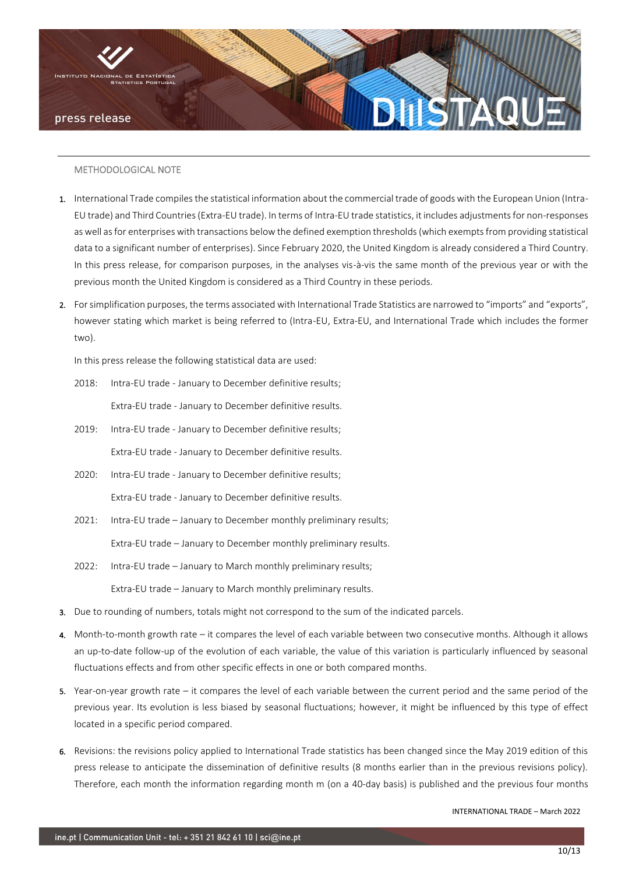

#### METHODOLOGICAL NOTE

- 1. International Trade compiles the statistical information about the commercial trade of goods with the European Union (Intra-EU trade) and Third Countries (Extra-EU trade). In terms of Intra-EU trade statistics, it includes adjustments for non-responses as well as for enterprises with transactions below the defined exemption thresholds (which exempts from providing statistical data to a significant number of enterprises). Since February 2020, the United Kingdom is already considered a Third Country. In this press release, for comparison purposes, in the analyses vis-à-vis the same month of the previous year or with the previous month the United Kingdom is considered as a Third Country in these periods.
- 2. For simplification purposes, the terms associated with International Trade Statistics are narrowed to "imports" and "exports", however stating which market is being referred to (Intra-EU, Extra-EU, and International Trade which includes the former two).

In this press release the following statistical data are used:

- 2018: Intra-EU trade January to December definitive results; Extra-EU trade - January to December definitive results.
- 2019: Intra-EU trade January to December definitive results; Extra-EU trade - January to December definitive results.
- 2020: Intra-EU trade January to December definitive results; Extra-EU trade - January to December definitive results.
- 2021: Intra-EU trade January to December monthly preliminary results; Extra-EU trade – January to December monthly preliminary results.
- 2022: Intra-EU trade January to March monthly preliminary results; Extra-EU trade – January to March monthly preliminary results.
- 3. Due to rounding of numbers, totals might not correspond to the sum of the indicated parcels.
- 4. Month-to-month growth rate it compares the level of each variable between two consecutive months. Although it allows an up-to-date follow-up of the evolution of each variable, the value of this variation is particularly influenced by seasonal fluctuations effects and from other specific effects in one or both compared months.
- 5. Year-on-year growth rate it compares the level of each variable between the current period and the same period of the previous year. Its evolution is less biased by seasonal fluctuations; however, it might be influenced by this type of effect located in a specific period compared.
- 6. Revisions: the revisions policy applied to International Trade statistics has been changed since the May 2019 edition of this press release to anticipate the dissemination of definitive results (8 months earlier than in the previous revisions policy). Therefore, each month the information regarding month m (on a 40-day basis) is published and the previous four months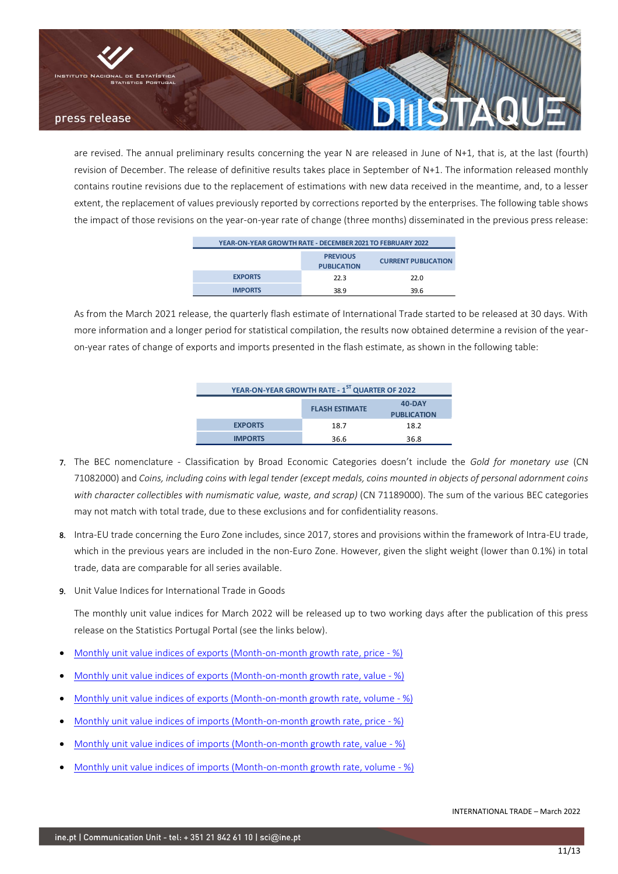

are revised. The annual preliminary results concerning the year N are released in June of N+1, that is, at the last (fourth) revision of December. The release of definitive results takes place in September of N+1. The information released monthly contains routine revisions due to the replacement of estimations with new data received in the meantime, and, to a lesser extent, the replacement of values previously reported by corrections reported by the enterprises. The following table shows the impact of those revisions on the year-on-year rate of change (three months) disseminated in the previous press release:

| YEAR-ON-YEAR GROWTH RATE - DECEMBER 2021 TO FEBRUARY 2022           |      |      |  |  |  |  |  |  |  |  |
|---------------------------------------------------------------------|------|------|--|--|--|--|--|--|--|--|
| <b>PREVIOUS</b><br><b>CURRENT PUBLICATION</b><br><b>PUBLICATION</b> |      |      |  |  |  |  |  |  |  |  |
| <b>EXPORTS</b>                                                      | 22.3 | 22.0 |  |  |  |  |  |  |  |  |
| <b>IMPORTS</b>                                                      | 38.9 | 39.6 |  |  |  |  |  |  |  |  |

 As from the March 2021 release, the quarterly flash estimate of International Trade started to be released at 30 days. With more information and a longer period for statistical compilation, the results now obtained determine a revision of the yearon-year rates of change of exports and imports presented in the flash estimate, as shown in the following table:

| YEAR-ON-YEAR GROWTH RATE - 1ST QUARTER OF 2022 |                       |                    |  |  |  |  |  |  |  |
|------------------------------------------------|-----------------------|--------------------|--|--|--|--|--|--|--|
|                                                | <b>FLASH ESTIMATE</b> | 40-DAY             |  |  |  |  |  |  |  |
|                                                |                       | <b>PUBLICATION</b> |  |  |  |  |  |  |  |
| <b>EXPORTS</b>                                 | 18.7                  | 18.2               |  |  |  |  |  |  |  |
| <b>IMPORTS</b>                                 | 36.6                  | 36.8               |  |  |  |  |  |  |  |

- 7. The BEC nomenclature Classification by Broad Economic Categories doesn't include the *Gold for monetary use* (CN 71082000) and *Coins, including coins with legal tender (except medals, coins mounted in objects of personal adornment coins with character collectibles with numismatic value, waste, and scrap)* (CN 71189000). The sum of the various BEC categories may not match with total trade, due to these exclusions and for confidentiality reasons.
- 8. Intra-EU trade concerning the Euro Zone includes, since 2017, stores and provisions within the framework of Intra-EU trade, which in the previous years are included in the non-Euro Zone. However, given the slight weight (lower than 0.1%) in total trade, data are comparable for all series available.
- 9. Unit Value Indices for International Trade in Goods

The monthly unit value indices for March 2022 will be released up to two working days after the publication of this press release on the Statistics Portugal Portal (see the links below).

- [Monthly unit value indices of exports \(Month-on-month growth rate, price -](https://www.ine.pt/xportal/xmain?xpid=INE&xpgid=ine_indicadores&indOcorrCod=0009623&xlang=en&contexto=bd&selTab=tab2) %)
- [Monthly unit value indices of exports \(Month-on-month growth rate, value -](https://www.ine.pt/xurl/ind/0009619&xlang=en) %)
- [Monthly unit value indices of exports \(Month-on-month growth rate, volume -](https://www.ine.pt/xurl/ind/0009621&xlang=en) %)
- [Monthly unit value indices of imports \(Month-on-month growth rate, price -](https://www.ine.pt/xurl/ind/0009622&xlang=en) %)
- [Monthly unit value indices of imports \(Month-on-month growth rate, value -](https://www.ine.pt/xurl/ind/0009618&xlang=en) %)
- [Monthly unit value indices of imports \(Month-on-month growth rate, volume -](https://www.ine.pt/xurl/ind/0009620&xlang=en) %)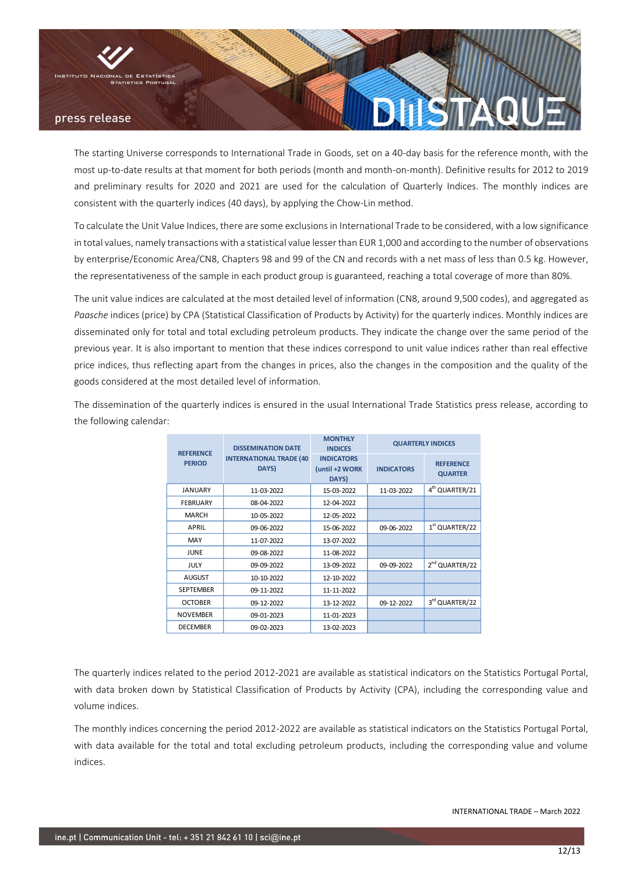

The starting Universe corresponds to International Trade in Goods, set on a 40-day basis for the reference month, with the most up-to-date results at that moment for both periods (month and month-on-month). Definitive results for 2012 to 2019 and preliminary results for 2020 and 2021 are used for the calculation of Quarterly Indices. The monthly indices are consistent with the quarterly indices (40 days), by applying the Chow-Lin method.

To calculate the Unit Value Indices, there are some exclusions in International Trade to be considered, with a low significance in total values, namely transactions with a statistical value lesser than EUR 1,000 and according to the number of observations by enterprise/Economic Area/CN8, Chapters 98 and 99 of the CN and records with a net mass of less than 0.5 kg. However, the representativeness of the sample in each product group is guaranteed, reaching a total coverage of more than 80%.

The unit value indices are calculated at the most detailed level of information (CN8, around 9,500 codes), and aggregated as *Paasche* indices (price) by CPA (Statistical Classification of Products by Activity) for the quarterly indices. Monthly indices are disseminated only for total and total excluding petroleum products. They indicate the change over the same period of the previous year. It is also important to mention that these indices correspond to unit value indices rather than real effective price indices, thus reflecting apart from the changes in prices, also the changes in the composition and the quality of the goods considered at the most detailed level of information.

The dissemination of the quarterly indices is ensured in the usual International Trade Statistics press release, according to the following calendar:

|                                   | <b>DISSEMINATION DATE</b>                | <b>MONTHLY</b><br><b>INDICES</b>             |                   | <b>QUARTERLY INDICES</b>           |
|-----------------------------------|------------------------------------------|----------------------------------------------|-------------------|------------------------------------|
| <b>REFERENCE</b><br><b>PERIOD</b> | <b>INTERNATIONAL TRADE (40)</b><br>DAYS) | <b>INDICATORS</b><br>(until +2 WORK<br>DAYS) | <b>INDICATORS</b> | <b>REFERENCE</b><br><b>QUARTER</b> |
| JANUARY                           | 11-03-2022                               | 15-03-2022                                   | 11-03-2022        | 4 <sup>th</sup> QUARTER/21         |
| <b>FEBRUARY</b>                   | 08-04-2022                               | 12-04-2022                                   |                   |                                    |
| <b>MARCH</b>                      | 10-05-2022                               | 12-05-2022                                   |                   |                                    |
| APRIL                             | 09-06-2022                               | 15-06-2022                                   | 09-06-2022        | $1st$ QUARTER/22                   |
| <b>MAY</b>                        | 11-07-2022                               | 13-07-2022                                   |                   |                                    |
| JUNE                              | 09-08-2022                               | 11-08-2022                                   |                   |                                    |
| <b>JULY</b>                       | 09-09-2022                               | 13-09-2022                                   | 09-09-2022        | 2 <sup>nd</sup> QUARTER/22         |
| <b>AUGUST</b>                     | 10-10-2022                               | 12-10-2022                                   |                   |                                    |
| <b>SEPTEMBER</b>                  | 09-11-2022                               | 11-11-2022                                   |                   |                                    |
| <b>OCTOBER</b>                    | 09-12-2022                               | 13-12-2022                                   | 09-12-2022        | 3rd QUARTER/22                     |
| <b>NOVEMBER</b>                   | 09-01-2023                               | 11-01-2023                                   |                   |                                    |
| <b>DECEMBER</b>                   | 09-02-2023                               | 13-02-2023                                   |                   |                                    |

The quarterly indices related to the period 2012-2021 are available as statistical indicators on the Statistics Portugal Portal, with data broken down by Statistical Classification of Products by Activity (CPA), including the corresponding value and volume indices.

The monthly indices concerning the period 2012-2022 are available as statistical indicators on the Statistics Portugal Portal, with data available for the total and total excluding petroleum products, including the corresponding value and volume indices.